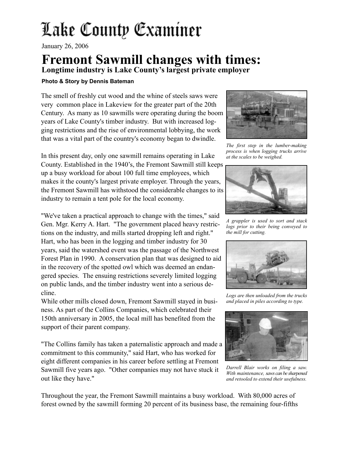## Lake County Examiner

January 26, 2006

## **Fremont Sawmill changes with times:**

**Longtime industry is Lake County's largest private employer**

## **Photo & Story by Dennis Bateman**

The smell of freshly cut wood and the whine of steels saws were very common place in Lakeview for the greater part of the 20th Century. As many as 10 sawmills were operating during the boom years of Lake County's timber industry. But with increased logging restrictions and the rise of environmental lobbying, the work that was a vital part of the country's economy began to dwindle.

In this present day, only one sawmill remains operating in Lake County. Established in the 1940's, the Fremont Sawmill still keeps up a busy workload for about 100 full time employees, which makes it the county's largest private employer. Through the years, the Fremont Sawmill has withstood the considerable changes to its industry to remain a tent pole for the local economy.

"We've taken a practical approach to change with the times," said Gen. Mgr. Kerry A. Hart. "The government placed heavy restrictions on the industry, and mills started dropping left and right." Hart, who has been in the logging and timber industry for 30 years, said the watershed event was the passage of the Northwest Forest Plan in 1990. A conservation plan that was designed to aid in the recovery of the spotted owl which was deemed an endangered species. The ensuing restrictions severely limited logging on public lands, and the timber industry went into a serious decline.

While other mills closed down, Fremont Sawmill stayed in business. As part of the Collins Companies, which celebrated their 150th anniversary in 2005, the local mill has benefited from the support of their parent company.

"The Collins family has taken a paternalistic approach and made a commitment to this community," said Hart, who has worked for eight different companies in his career before settling at Fremont Sawmill five years ago. "Other companies may not have stuck it out like they have."



*The first step in the lumber-making process is when logging trucks arrive at the scales to be weighed.*



*A grappler is used to sort and stack logs prior to their being conveyed to the mill for cutting.*



*Logs are then unloaded from the trucks and placed in piles according to type.*



*Darrell Blair works on filing a saw. With maintenance, saws can be sharpened and retooled to extend their usefulness.*

Throughout the year, the Fremont Sawmill maintains a busy workload. With 80,000 acres of forest owned by the sawmill forming 20 percent of its business base, the remaining four-fifths